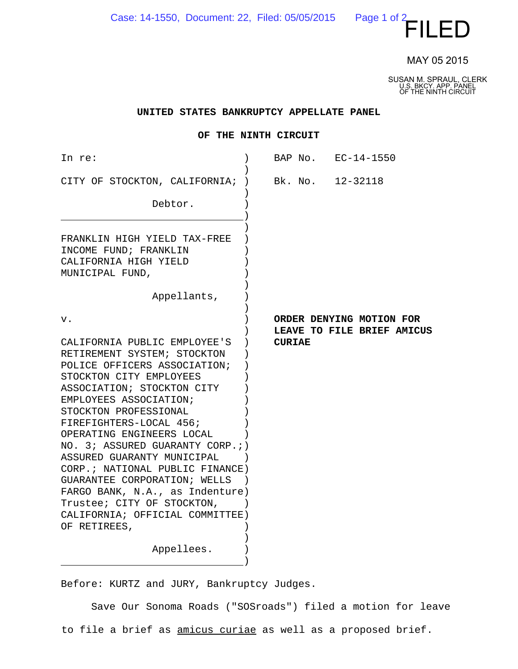Case: 14-1550, Document: 22, Filed: 05/05/2015

 $P$ age 1 of 2 $\leftarrow$   $\leftarrow$   $\left\vert \right\vert$   $\left\vert \right\vert$   $\left\vert \right\vert$   $\left\vert \right\vert$   $\left\vert \right\vert$   $\left\vert \right\vert$   $\left\vert \right\vert$ 

MAY 05 2015

SUSAN M. SPRAUL, CLERK U.S. BKCY. APP. PANEL OF THE NINTH CIRCUIT

## **UNITED STATES BANKRUPTCY APPELLATE PANEL**

## **OF THE NINTH CIRCUIT**

| In re:                                                                                                                                                                                                                                                                                                                                                                                                                                                                                                        | BAP No. EC-14-1550                                                      |
|---------------------------------------------------------------------------------------------------------------------------------------------------------------------------------------------------------------------------------------------------------------------------------------------------------------------------------------------------------------------------------------------------------------------------------------------------------------------------------------------------------------|-------------------------------------------------------------------------|
| CITY OF STOCKTON, CALIFORNIA;<br>Debtor.                                                                                                                                                                                                                                                                                                                                                                                                                                                                      | Bk. No. 12-32118                                                        |
| FRANKLIN HIGH YIELD TAX-FREE<br>INCOME FUND; FRANKLIN<br>CALIFORNIA HIGH YIELD<br>MUNICIPAL FUND,<br>Appellants,                                                                                                                                                                                                                                                                                                                                                                                              |                                                                         |
| v.<br>CALIFORNIA PUBLIC EMPLOYEE'S<br>RETIREMENT SYSTEM; STOCKTON<br>POLICE OFFICERS ASSOCIATION;<br>STOCKTON CITY EMPLOYEES<br>ASSOCIATION; STOCKTON CITY<br>EMPLOYEES ASSOCIATION;<br>STOCKTON PROFESSIONAL<br>FIREFIGHTERS-LOCAL 456;<br>OPERATING ENGINEERS LOCAL<br>NO. 3; ASSURED GUARANTY CORP.;)<br>ASSURED GUARANTY MUNICIPAL<br>CORP.; NATIONAL PUBLIC FINANCE)<br>GUARANTEE CORPORATION; WELLS<br>FARGO BANK, N.A., as Indenture)<br>Trustee; CITY OF STOCKTON,<br>CALIFORNIA; OFFICIAL COMMITTEE) | ORDER DENYING MOTION FOR<br>LEAVE TO FILE BRIEF AMICUS<br><b>CURIAE</b> |
| OF RETIREES,<br>Appellees.                                                                                                                                                                                                                                                                                                                                                                                                                                                                                    |                                                                         |

Before: KURTZ and JURY, Bankruptcy Judges.

Save Our Sonoma Roads ("SOSroads") filed a motion for leave to file a brief as amicus curiae as well as a proposed brief.